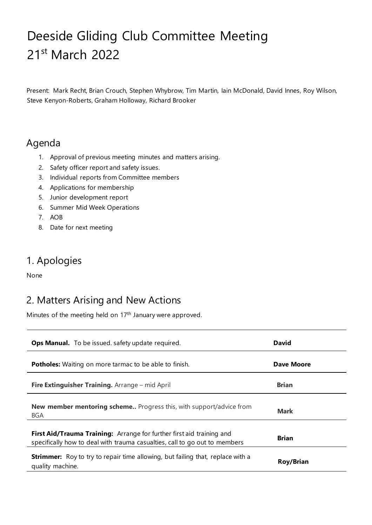# Deeside Gliding Club Committee Meeting 21st March 2022

Present: Mark Recht, Brian Crouch, Stephen Whybrow, Tim Martin, Iain McDonald, David Innes, Roy Wilson, Steve Kenyon-Roberts, Graham Holloway, Richard Brooker

## Agenda

- 1. Approval of previous meeting minutes and matters arising.
- 2. Safety officer report and safety issues.
- 3. Individual reports from Committee members
- 4. Applications for membership
- 5. Junior development report
- 6. Summer Mid Week Operations
- 7. AOB
- 8. Date for next meeting

## 1. Apologies

None

## 2. Matters Arising and New Actions

Minutes of the meeting held on 17<sup>th</sup> January were approved.

| <b>Ops Manual.</b> To be issued. safety update required.                                                                                            | <b>David</b>     |
|-----------------------------------------------------------------------------------------------------------------------------------------------------|------------------|
| <b>Potholes:</b> Waiting on more tarmac to be able to finish.                                                                                       | Dave Moore       |
| Fire Extinguisher Training. Arrange – mid April                                                                                                     | <b>Brian</b>     |
| <b>New member mentoring scheme</b> Progress this, with support/advice from<br><b>BGA</b>                                                            | <b>Mark</b>      |
| First Aid/Trauma Training: Arrange for further first aid training and<br>specifically how to deal with trauma casualties, call to go out to members | <b>Brian</b>     |
| <b>Strimmer:</b> Roy to try to repair time allowing, but failing that, replace with a<br>quality machine.                                           | <b>Roy/Brian</b> |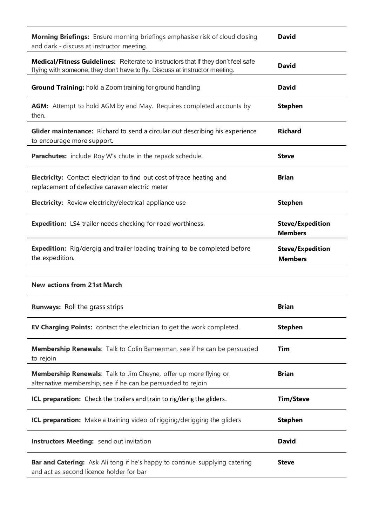| Morning Briefings: Ensure morning briefings emphasise risk of cloud closing<br>and dark - discuss at instructor meeting.                                         | <b>David</b>                              |
|------------------------------------------------------------------------------------------------------------------------------------------------------------------|-------------------------------------------|
| Medical/Fitness Guidelines: Reiterate to instructors that if they don't feel safe<br>flying with someone, they don't have to fly. Discuss at instructor meeting. | <b>David</b>                              |
| Ground Training: hold a Zoom training for ground handling                                                                                                        | <b>David</b>                              |
| AGM: Attempt to hold AGM by end May. Requires completed accounts by<br>then.                                                                                     | <b>Stephen</b>                            |
| <b>Glider maintenance:</b> Richard to send a circular out describing his experience<br>to encourage more support.                                                | <b>Richard</b>                            |
| <b>Parachutes:</b> include Roy W's chute in the repack schedule.                                                                                                 | <b>Steve</b>                              |
| Electricity: Contact electrician to find out cost of trace heating and<br>replacement of defective caravan electric meter                                        | <b>Brian</b>                              |
| Electricity: Review electricity/electrical appliance use                                                                                                         | <b>Stephen</b>                            |
| <b>Expedition:</b> LS4 trailer needs checking for road worthiness.                                                                                               | <b>Steve/Expedition</b><br><b>Members</b> |
| <b>Expedition:</b> Rig/dergig and trailer loading training to be completed before<br>the expedition.                                                             | <b>Steve/Expedition</b><br><b>Members</b> |
| <b>New actions from 21st March</b>                                                                                                                               |                                           |
|                                                                                                                                                                  |                                           |
| <b>Runways:</b> Roll the grass strips                                                                                                                            | Brian                                     |
| <b>EV Charging Points:</b> contact the electrician to get the work completed.                                                                                    | <b>Stephen</b>                            |
| Membership Renewals: Talk to Colin Bannerman, see if he can be persuaded<br>to rejoin                                                                            | Tim                                       |
| Membership Renewals: Talk to Jim Cheyne, offer up more flying or<br>alternative membership, see if he can be persuaded to rejoin                                 | <b>Brian</b>                              |
| ICL preparation: Check the trailers and train to rig/derig the gliders.                                                                                          | <b>Tim/Steve</b>                          |
| <b>ICL preparation:</b> Make a training video of rigging/derigging the gliders                                                                                   | <b>Stephen</b>                            |
| <b>Instructors Meeting:</b> send out invitation                                                                                                                  | <b>David</b>                              |
| Bar and Catering: Ask Ali tong if he's happy to continue supplying catering<br>and act as second licence holder for bar                                          | <b>Steve</b>                              |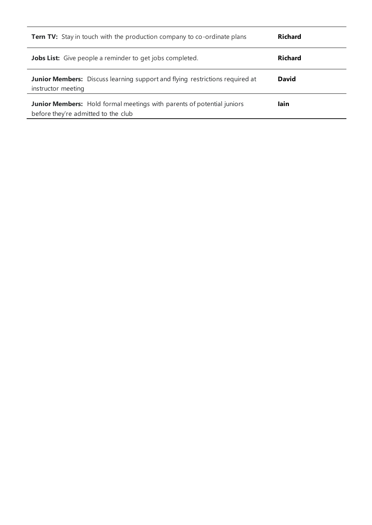| <b>Tern TV:</b> Stay in touch with the production company to co-ordinate plans                                | <b>Richard</b> |
|---------------------------------------------------------------------------------------------------------------|----------------|
| <b>Jobs List:</b> Give people a reminder to get jobs completed.                                               | <b>Richard</b> |
| <b>Junior Members:</b> Discuss learning support and flying restrictions required at<br>instructor meeting     | David          |
| Junior Members: Hold formal meetings with parents of potential juniors<br>before they're admitted to the club | lain           |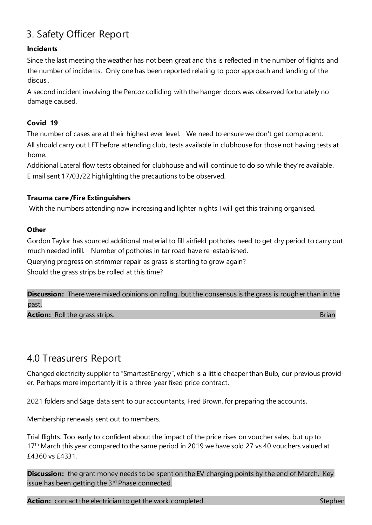## 3. Safety Officer Report

### **Incidents**

Since the last meeting the weather has not been great and this is reflected in the number of flights and the number of incidents. Only one has been reported relating to poor approach and landing of the discus .

A second incident involving the Percoz colliding with the hanger doors was observed fortunately no damage caused.

### **Covid 19**

The number of cases are at their highest ever level. We need to ensure we don't get complacent. All should carry out LFT before attending club, tests available in clubhouse for those not having tests at home.

Additional Lateral flow tests obtained for clubhouse and will continue to do so while they're available. E mail sent 17/03/22 highlighting the precautions to be observed.

### **Trauma care /Fire Extinguishers**

With the numbers attending now increasing and lighter nights I will get this training organised.

#### **Other**

Gordon Taylor has sourced additional material to fill airfield potholes need to get dry period to carry out much needed infill. Number of potholes in tar road have re-established.

Querying progress on strimmer repair as grass is starting to grow again?

Should the grass strips be rolled at this time?

**Discussion:** There were mixed opinions on rollng, but the consensus is the grass is rougher than in the past.

**Action:** Roll the grass strips. Brian extensive properties of the strip of the strip of the Brian

## 4.0 Treasurers Report

Changed electricity supplier to "SmartestEnergy", which is a little cheaper than Bulb, our previous provider. Perhaps more importantly it is a three-year fixed price contract.

2021 folders and Sage data sent to our accountants, Fred Brown, for preparing the accounts.

Membership renewals sent out to members.

Trial flights. Too early to confident about the impact of the price rises on voucher sales, but up to 17<sup>th</sup> March this year compared to the same period in 2019 we have sold 27 vs 40 vouchers valued at £4360 vs £4331.

**Discussion:** the grant money needs to be spent on the EV charging points by the end of March. Key issue has been getting the 3<sup>rd</sup> Phase connected.

**Action:** contact the electrician to get the work completed. Stephen and stephen stephen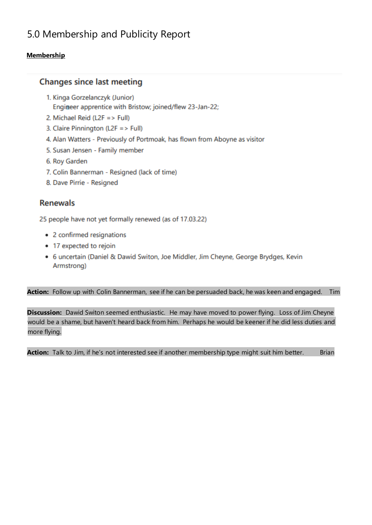## 5.0 Membership and Publicity Report

## **Membership**

## **Changes since last meeting**

- 1. Kinga Gorzelanczyk (Junior) Engineer apprentice with Bristow; joined/flew 23-Jan-22;
- 2. Michael Reid (L2F => Full)
- 3. Claire Pinnington (L2F => Full)
- 4. Alan Watters Previously of Portmoak, has flown from Aboyne as visitor
- 5. Susan Jensen Family member
- 6. Roy Garden
- 7. Colin Bannerman Resigned (lack of time)
- 8. Dave Pirrie Resigned

## **Renewals**

25 people have not yet formally renewed (as of 17.03.22)

- 2 confirmed resignations
- 17 expected to rejoin
- 6 uncertain (Daniel & Dawid Switon, Joe Middler, Jim Cheyne, George Brydges, Kevin Armstrong)

### **Action:** Follow up with Colin Bannerman, see if he can be persuaded back, he was keen and engaged. Tim

**Discussion:** Dawid Switon seemed enthusiastic. He may have moved to power flying. Loss of Jim Cheyne would be a shame, but haven't heard back from him. Perhaps he would be keener if he did less duties and more flying.

Action: Talk to Jim, if he's not interested see if another membership type might suit him better. Brian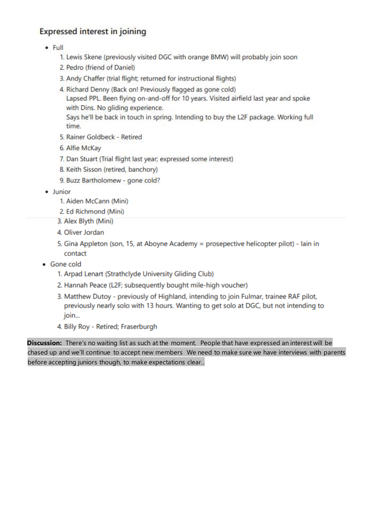## **Expressed interest in joining**

- $-$  Full
	- 1. Lewis Skene (previously visited DGC with orange BMW) will probably join soon
	- 2. Pedro (friend of Daniel)
	- 3. Andy Chaffer (trial flight; returned for instructional flights)
	- 4. Richard Denny (Back on! Previously flagged as gone cold)

Lapsed PPL. Been flying on-and-off for 10 years. Visited airfield last year and spoke with Dins. No gliding experience.

Says he'll be back in touch in spring. Intending to buy the L2F package. Working full time.

- 5. Rainer Goldbeck Retired
- 6. Alfie McKay
- 7. Dan Stuart (Trial flight last year; expressed some interest)
- 8. Keith Sisson (retired, banchory)
- 9. Buzz Bartholomew gone cold?
- · Junior
	- 1. Aiden McCann (Mini)
	- 2. Ed Richmond (Mini)
	- 3. Alex Blyth (Mini)
	- 4. Oliver Jordan
	- 5. Gina Appleton (son, 15, at Aboyne Academy = prosepective helicopter pilot) Iain in contact
- Gone cold
	- 1. Arpad Lenart (Strathclyde University Gliding Club)
	- 2. Hannah Peace (L2F; subsequently bought mile-high voucher)
	- 3. Matthew Dutoy previously of Highland, intending to join Fulmar, trainee RAF pilot, previously nearly solo with 13 hours. Wanting to get solo at DGC, but not intending to join...
	- 4. Billy Roy Retired; Fraserburgh

Discussion: There's no waiting list as such at the moment. People that have expressed an interest will be chased up and we'll continue to accept new members We need to make sure we have interviews with parents before accepting juniors though, to make expectations clear..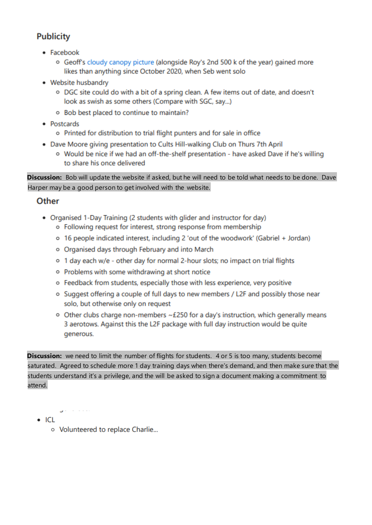## **Publicity**

- Facebook
	- o Geoff's cloudy canopy picture (alongside Roy's 2nd 500 k of the year) gained more likes than anything since October 2020, when Seb went solo
- Website husbandry
	- o DGC site could do with a bit of a spring clean. A few items out of date, and doesn't look as swish as some others (Compare with SGC, say...)
	- o Bob best placed to continue to maintain?
- Postcards
	- o Printed for distribution to trial flight punters and for sale in office
- . Dave Moore giving presentation to Cults Hill-walking Club on Thurs 7th April
	- o Would be nice if we had an off-the-shelf presentation have asked Dave if he's willing to share his once delivered

Discussion: Bob will update the website if asked, but he will need to be told what needs to be done. Dave Harper may be a good person to get involved with the website.

## Other

- Organised 1-Day Training (2 students with glider and instructor for day)
	- o Following request for interest, strong response from membership
	- o 16 people indicated interest, including 2 'out of the woodwork' (Gabriel + Jordan)
	- o Organised days through February and into March
	- o 1 day each w/e other day for normal 2-hour slots; no impact on trial flights
	- o Problems with some withdrawing at short notice
	- o Feedback from students, especially those with less experience, very positive
	- o Suggest offering a couple of full days to new members / L2F and possibly those near solo, but otherwise only on request
	- $\circ$  Other clubs charge non-members  $\sim$  £250 for a day's instruction, which generally means 3 aerotows. Against this the L2F package with full day instruction would be quite generous.

**Discussion:** we need to limit the number of flights for students. 4 or 5 is too many, students become saturated. Agreed to schedule more 1 day training days when there's demand, and then make sure that the students understand it's a privilege, and the will be asked to sign a document making a commitment to attend.

**District Control** 

- $\bullet$  ICL
	- o Volunteered to replace Charlie...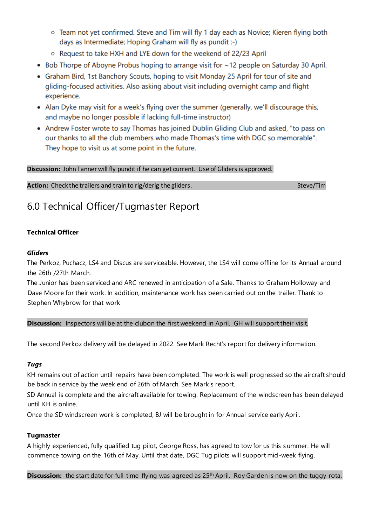- o Team not yet confirmed. Steve and Tim will fly 1 day each as Novice; Kieren flying both days as Intermediate; Hoping Graham will fly as pundit :-)
- o Request to take HXH and LYE down for the weekend of 22/23 April
- Bob Thorpe of Aboyne Probus hoping to arrange visit for ~12 people on Saturday 30 April.
- Graham Bird, 1st Banchory Scouts, hoping to visit Monday 25 April for tour of site and gliding-focused activities. Also asking about visit including overnight camp and flight experience.
- Alan Dyke may visit for a week's flying over the summer (generally, we'll discourage this, and maybe no longer possible if lacking full-time instructor)
- Andrew Foster wrote to say Thomas has joined Dublin Gliding Club and asked, "to pass on our thanks to all the club members who made Thomas's time with DGC so memorable". They hope to visit us at some point in the future.

### **Discussion:** John Tanner will fly pundit if he can get current. Use of Gliders is approved.

**Action:** Check the trailers and train to rig/derig the gliders. Steve/Tim steve/Tim

## 6.0 Technical Officer/Tugmaster Report

### **Technical Officer**

### *Gliders*

The Perkoz, Puchacz, LS4 and Discus are serviceable. However, the LS4 will come offline for its Annual around the 26th /27th March.

The Junior has been serviced and ARC renewed in anticipation of a Sale. Thanks to Graham Holloway and Dave Moore for their work. In addition, maintenance work has been carried out on the trailer. Thank to Stephen Whybrow for that work

### **Discussion:** Inspectors will be at the clubon the first weekend in April. GH will support their visit.

The second Perkoz delivery will be delayed in 2022. See Mark Recht's report for delivery information.

### *Tugs*

KH remains out of action until repairs have been completed. The work is well progressed so the aircraft should be back in service by the week end of 26th of March. See Mark's report.

SD Annual is complete and the aircraft available for towing. Replacement of the windscreen has been delayed until KH is online.

Once the SD windscreen work is completed, BJ will be brought in for Annual service early April.

### **Tugmaster**

A highly experienced, fully qualified tug pilot, George Ross, has agreed to tow for us this s ummer. He will commence towing on the 16th of May. Until that date, DGC Tug pilots will support mid-week flying.

**Discussion:** the start date for full-time flying was agreed as 25th April. Roy Garden is now on the tuggy rota.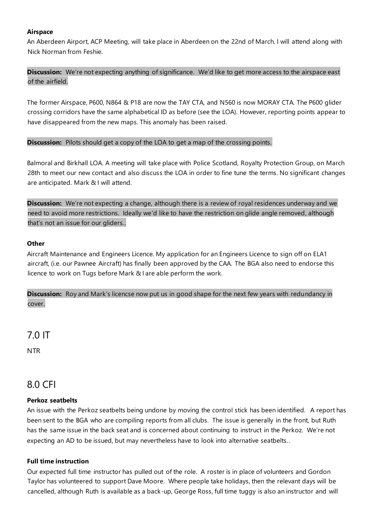#### **Airspace**

An Aberdeen Airport, ACP Meeting, will take place in Aberdeen on the 22nd of March. I will attend along with Nick Norman from Feshie.

**Discussion:** We're not expecting anything of significance. We'd like to get more access to the airspace east of the airfield.

The former Airspace, P600, N864 & P18 are now the TAY CTA, and N560 is now MORAY CTA. The P600 glider crossing corridors have the same alphabetical ID as before (see the LOA). However, reporting points appear to have disappeared from the new maps. This anomaly has been raised.

#### **Discussion:** Pilots should get a copy of the LOA to get a map of the crossing points.

Balmoral and Birkhall LOA. A meeting will take place with Police Scotland, Royalty Protection Group, on March 28th to meet our new contact and also discuss the LOA in order to fine tune the terms. No significant changes are anticipated. Mark & I will attend.

**Discussion:** We're not expecting a change, although there is a review of royal residences underway and we need to avoid more restrictions. Ideally we'd like to have the restriction on glide angle removed, although that's not an issue for our gliders..

#### **Other**

Aircraft Maintenance and Engineers Licence. My application for an Engineers Licence to sign off on ELA1 aircraft, (i.e. our Pawnee Aircraft) has finally been approved by the CAA. The BGA also need to endorse this licence to work on Tugs before Mark & I are able perform the work.

**Discussion:** Roy and Mark's licencse now put us in good shape for the next few years with redundancy in cover.

7.0 IT NTR

## 8.0 CFI

#### **Perkoz seatbelts**

An issue with the Perkoz seatbelts being undone by moving the control stick has been identified. A report has been sent to the BGA who are compiling reports from all clubs. The issue is generally in the front, but Ruth has the same issue in the back seat and is concerned about continuing to instruct in the Perkoz. We're not expecting an AD to be issued, but may nevertheless have to look into alternative seatbelts. .

#### **Full time instruction**

Our expected full time instructor has pulled out of the role. A roster is in place of volunteers and Gordon Taylor has volunteered to support Dave Moore. Where people take holidays, then the relevant days will be cancelled, although Ruth is available as a back-up, George Ross, full time tuggy is also an instructor and will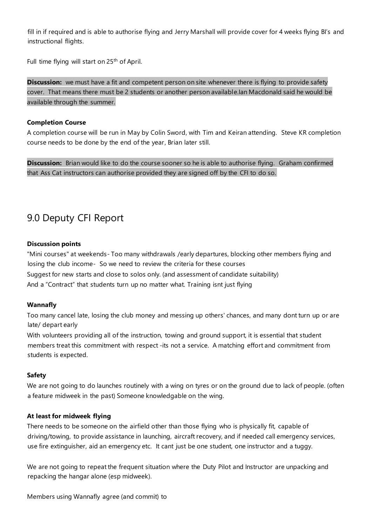fill in if required and is able to authorise flying and Jerry Marshall will provide cover for 4 weeks flying BI's and instructional flights.

Full time flying will start on 25<sup>th</sup> of April.

**Discussion:** we must have a fit and competent person on site whenever there is flying to provide safety cover. That means there must be 2 students or another person available.Ian Macdonald said he would be available through the summer.

#### **Completion Course**

A completion course will be run in May by Colin Sword, with Tim and Keiran attending. Steve KR completion course needs to be done by the end of the year, Brian later still.

**Discussion:** Brian would like to do the course sooner so he is able to authorise flying. Graham confirmed that Ass Cat instructors can authorise provided they are signed off by the CFI to do so.

## 9.0 Deputy CFI Report

#### **Discussion points**

"Mini courses" at weekends- Too many withdrawals /early departures, blocking other members flying and losing the club income- So we need to review the criteria for these courses Suggest for new starts and close to solos only. (and assessment of candidate suitability) And a "Contract" that students turn up no matter what. Training isnt just flying

#### **Wannafly**

Too many cancel late, losing the club money and messing up others' chances, and many dont turn up or are late/ depart early

With volunteers providing all of the instruction, towing and ground support, it is essential that student members treat this commitment with respect -its not a service. A matching effort and commitment from students is expected.

#### **Safety**

We are not going to do launches routinely with a wing on tyres or on the ground due to lack of people. (often a feature midweek in the past) Someone knowledgable on the wing.

#### **At least for midweek flying**

There needs to be someone on the airfield other than those flying who is physically fit, capable of driving/towing, to provide assistance in launching, aircraft recovery, and if needed call emergency services, use fire extinguisher, aid an emergency etc. It cant just be one student, one instructor and a tuggy.

We are not going to repeat the frequent situation where the Duty Pilot and Instructor are unpacking and repacking the hangar alone (esp midweek).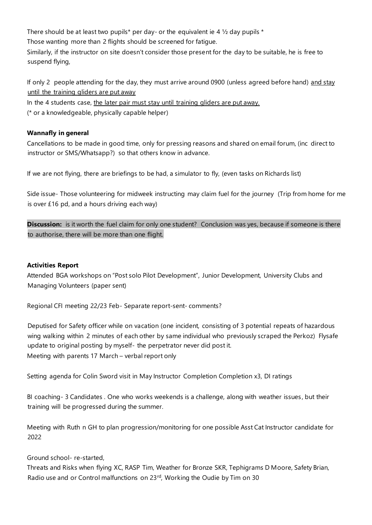There should be at least two pupils\* per day- or the equivalent ie 4  $\frac{1}{2}$  day pupils \* Those wanting more than 2 flights should be screened for fatigue. Similarly, if the instructor on site doesn't consider those present for the day to be suitable, he is free to suspend flying,

If only 2 people attending for the day, they must arrive around 0900 (unless agreed before hand) and stay until the training gliders are put away

In the 4 students case, the later pair must stay until training gliders are put away.

(\* or a knowledgeable, physically capable helper)

### **Wannafly in general**

Cancellations to be made in good time, only for pressing reasons and shared on email forum, (inc direct to instructor or SMS/Whatsapp?) so that others know in advance.

If we are not flying, there are briefings to be had, a simulator to fly, (even tasks on Richards list)

Side issue- Those volunteering for midweek instructing may claim fuel for the journey (Trip from home for me is over £16 pd, and a hours driving each way)

**Discussion:** is it worth the fuel claim for only one student? Conclusion was yes, because if someone is there to authorise, there will be more than one flight.

### **Activities Report**

Attended BGA workshops on "Post solo Pilot Development", Junior Development, University Clubs and Managing Volunteers (paper sent)

Regional CFI meeting 22/23 Feb- Separate report-sent- comments?

Deputised for Safety officer while on vacation (one incident, consisting of 3 potential repeats of hazardous wing walking within 2 minutes of each other by same individual who previously scraped the Perkoz) Flysafe update to original posting by myself- the perpetrator never did post it. Meeting with parents 17 March – verbal report only

Setting agenda for Colin Sword visit in May Instructor Completion Completion x3, DI ratings

BI coaching- 3 Candidates . One who works weekends is a challenge, along with weather issues , but their training will be progressed during the summer.

Meeting with Ruth n GH to plan progression/monitoring for one possible Asst Cat Instructor candidate for 2022

## Ground school- re-started,

Threats and Risks when flying XC, RASP Tim, Weather for Bronze SKR, Tephigrams D Moore, Safety Brian, Radio use and or Control malfunctions on 23rd, Working the Oudie by Tim on 30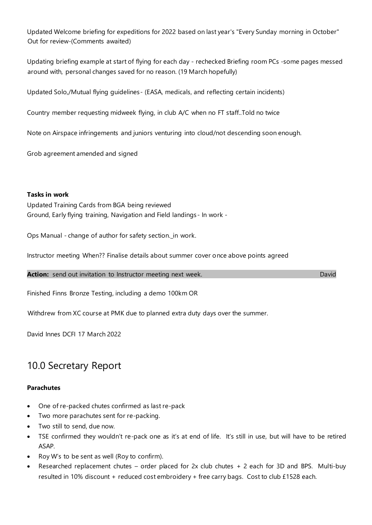Updated Welcome briefing for expeditions for 2022 based on last year's "Every Sunday morning in October" Out for review-(Comments awaited)

Updating briefing example at start of flying for each day - rechecked Briefing room PCs -some pages messed around with, personal changes saved for no reason. (19 March hopefully)

Updated Solo,/Mutual flying guidelines- (EASA, medicals, and reflecting certain incidents)

Country member requesting midweek flying, in club A/C when no FT staff..Told no twice

Note on Airspace infringements and juniors venturing into cloud/not descending soon enough.

Grob agreement amended and signed

#### **Tasks in work**

Updated Training Cards from BGA being reviewed Ground, Early flying training, Navigation and Field landings - In work -

Ops Manual - change of author for safety section.\_in work.

Instructor meeting When?? Finalise details about summer cover once above points agreed

**Action:** send out invitation to Instructor meeting next week. David and the control of the David

Finished Finns Bronze Testing, including a demo 100km OR

Withdrew from XC course at PMK due to planned extra duty days over the summer.

David Innes DCFI 17 March 2022

## 10.0 Secretary Report

#### **Parachutes**

- One of re-packed chutes confirmed as last re-pack
- Two more parachutes sent for re-packing.
- Two still to send, due now.
- TSE confirmed they wouldn't re-pack one as it's at end of life. It's still in use, but will have to be retired ASAP.
- Roy W's to be sent as well (Roy to confirm).
- Researched replacement chutes order placed for 2x club chutes + 2 each for 3D and BPS. Multi-buy resulted in 10% discount + reduced cost embroidery + free carry bags. Cost to club £1528 each.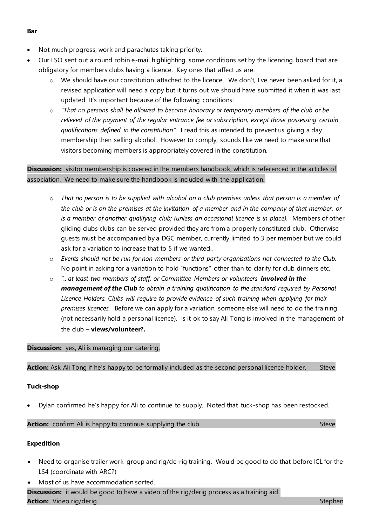- Not much progress, work and parachutes taking priority.
- Our LSO sent out a round robin e-mail highlighting some conditions set by the licencing board that are obligatory for members clubs having a licence. Key ones that affect us are:
	- $\circ$  We should have our constitution attached to the licence. We don't, I've never been asked for it, a revised application will need a copy but it turns out we should have submitted it when it was last updated It's important because of the following conditions:
	- o *"That no persons shall be allowed to become honorary or temporary members of the club or be relieved of the payment of the regular entrance fee or subscription, except those possessing certain qualifications defined in the constitution"* I read this as intended to prevent us giving a day membership then selling alcohol. However to comply, sounds like we need to make sure that visitors becoming members is appropriately covered in the constitution.

## **Discussion:** visitor membership is covered in the members handbook, which is referenced in the articles of association. We need to make sure the handbook is included with the application.

- o *That no person is to be supplied with alcohol on a club premises unless that person is a member of the club or is on the premises at the invitation of a member and in the company of that member, or*  is a member of another qualifying club; (unless an occasional licence is in place). Members of other gliding clubs clubs can be served provided they are from a properly constituted club. Otherwise guests must be accompanied by a DGC member, currently limited to 3 per member but we could ask for a variation to increase that to 5 if we wanted..
- o *Events should not be run for non-members or third party organisations not connected to the Club.* No point in asking for a variation to hold "functions" other than to clarify for club dinners etc.
- o *".. at least two members of staff, or Committee Members or volunteers involved in the management of the Club to obtain a training qualification to the standard required by Personal*  Licence Holders. Clubs will require to provide evidence of such training when applying for their *premises licences.* Before we can apply for a variation, someone else will need to do the training (not necessarily hold a personal licence). Is it ok to say Ali Tong is involved in the management of the club – **views/volunteer?.**

### **Discussion:** yes, Ali is managing our catering.

Action: Ask Ali Tong if he's happy to be formally included as the second personal licence holder. Steve

### **Tuck-shop**

• Dylan confirmed he's happy for Ali to continue to supply. Noted that tuck-shop has been restocked.

**Action:** confirm Ali is happy to continue supplying the club. Steve stead of the steve steve steve steve steve

### **Expedition**

- Need to organise trailer work-group and rig/de-rig training. Would be good to do that before ICL for the LS4 (coordinate with ARC?)
- Most of us have accommodation sorted.

**Discussion:** it would be good to have a video of the rig/derig process as a training aid. **Action:** Video rig/derig Stephen Stephen Stephen Stephen Stephen Stephen Stephen Stephen

#### **Bar**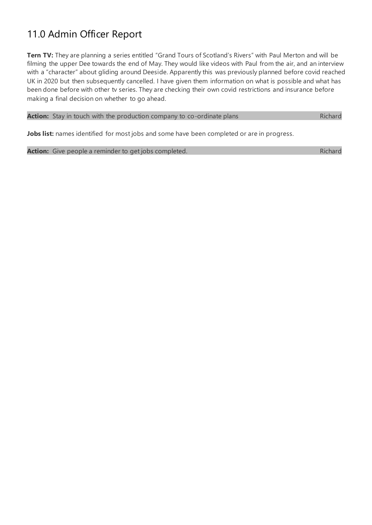## 11.0 Admin Officer Report

**Tern TV:** They are planning a series entitled "Grand Tours of Scotland's Rivers" with Paul Merton and will be filming the upper Dee towards the end of May. They would like videos with Paul from the air, and an interview with a "character" about gliding around Deeside. Apparently this was previously planned before covid reached UK in 2020 but then subsequently cancelled. I have given them information on what is possible and what has been done before with other tv series. They are checking their own covid restrictions and insurance before making a final decision on whether to go ahead.

| Richard<br><b>Action:</b> Stay in touch with the production company to co-ordinate plans |
|------------------------------------------------------------------------------------------|
|------------------------------------------------------------------------------------------|

Jobs list: names identified for most jobs and some have been completed or are in progress.

Action: Give people a reminder to get jobs completed. Action of the state of the Richard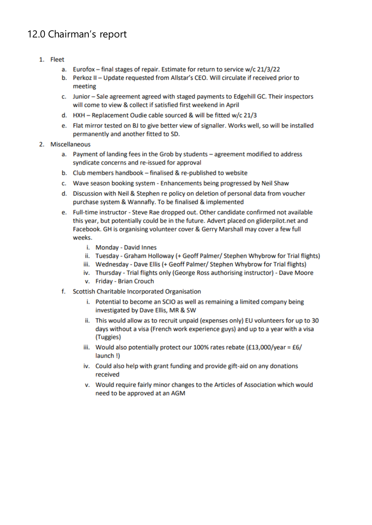## 12.0 Chairman's report

- 1. Fleet
	- a. Eurofox final stages of repair. Estimate for return to service w/c 21/3/22
	- b. Perkoz II Update requested from Allstar's CEO. Will circulate if received prior to meeting
	- c. Junior Sale agreement agreed with staged payments to Edgehill GC. Their inspectors will come to view & collect if satisfied first weekend in April
	- d. HXH Replacement Oudie cable sourced & will be fitted w/c 21/3
	- e. Flat mirror tested on BJ to give better view of signaller. Works well, so will be installed permanently and another fitted to SD.
- 2. Miscellaneous
	- a. Payment of landing fees in the Grob by students agreement modified to address syndicate concerns and re-issued for approval
	- b. Club members handbook finalised & re-published to website
	- c. Wave season booking system Enhancements being progressed by Neil Shaw
	- d. Discussion with Neil & Stephen re policy on deletion of personal data from voucher purchase system & Wannafly. To be finalised & implemented
	- e. Full-time instructor Steve Rae dropped out. Other candidate confirmed not available this year, but potentially could be in the future. Advert placed on gliderpilot.net and Facebook. GH is organising volunteer cover & Gerry Marshall may cover a few full weeks.
		- i. Monday David Innes
		- ii. Tuesday Graham Holloway (+ Geoff Palmer/ Stephen Whybrow for Trial flights)
		- iii. Wednesday Dave Ellis (+ Geoff Palmer/ Stephen Whybrow for Trial flights)
		- iv. Thursday Trial flights only (George Ross authorising instructor) Dave Moore
		- v. Friday Brian Crouch
	- f. Scottish Charitable Incorporated Organisation
		- i. Potential to become an SCIO as well as remaining a limited company being investigated by Dave Ellis, MR & SW
		- ii. This would allow as to recruit unpaid (expenses only) EU volunteers for up to 30 days without a visa (French work experience guys) and up to a year with a visa (Tuggies)
		- iii. Would also potentially protect our 100% rates rebate (£13,000/year =  $£6/$ launch!)
		- iv. Could also help with grant funding and provide gift-aid on any donations received
		- v. Would require fairly minor changes to the Articles of Association which would need to be approved at an AGM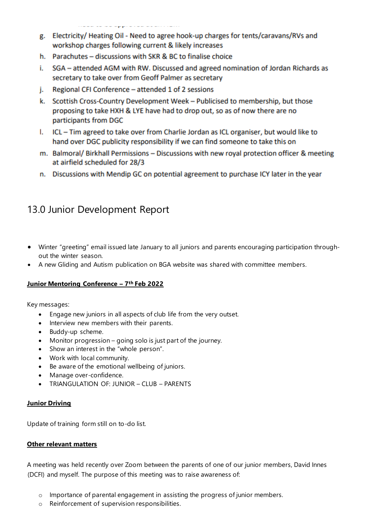- g. Electricity/Heating Oil Need to agree hook-up charges for tents/caravans/RVs and workshop charges following current & likely increases
- h. Parachutes discussions with SKR & BC to finalise choice
- i. SGA attended AGM with RW. Discussed and agreed nomination of Jordan Richards as secretary to take over from Geoff Palmer as secretary
- Regional CFI Conference attended 1 of 2 sessions j.
- k. Scottish Cross-Country Development Week Publicised to membership, but those proposing to take HXH & LYE have had to drop out, so as of now there are no participants from DGC
- I. ICL Tim agreed to take over from Charlie Jordan as ICL organiser, but would like to hand over DGC publicity responsibility if we can find someone to take this on
- m. Balmoral/Birkhall Permissions Discussions with new royal protection officer & meeting at airfield scheduled for 28/3
- n. Discussions with Mendip GC on potential agreement to purchase ICY later in the year

## 13.0 Junior Development Report

- Winter "greeting" email issued late January to all juniors and parents encouraging participation throughout the winter season.
- A new Gliding and Autism publication on BGA website was shared with committee members.

## **Junior Mentoring Conference – 7 th Feb 2022**

Key messages:

- Engage new juniors in all aspects of club life from the very outset.
- Interview new members with their parents.
- Buddy-up scheme.
- Monitor progression going solo is just part of the journey.
- Show an interest in the "whole person".
- Work with local community.
- Be aware of the emotional wellbeing of juniors.
- Manage over-confidence.
- TRIANGULATION OF: JUNIOR CLUB PARENTS

### **Junior Driving**

Update of training form still on to-do list.

### **Other relevant matters**

A meeting was held recently over Zoom between the parents of one of our junior members, David Innes (DCFI) and myself. The purpose of this meeting was to raise awareness of:

- $\circ$  Importance of parental engagement in assisting the progress of junior members.
- o Reinforcement of supervision responsibilities.